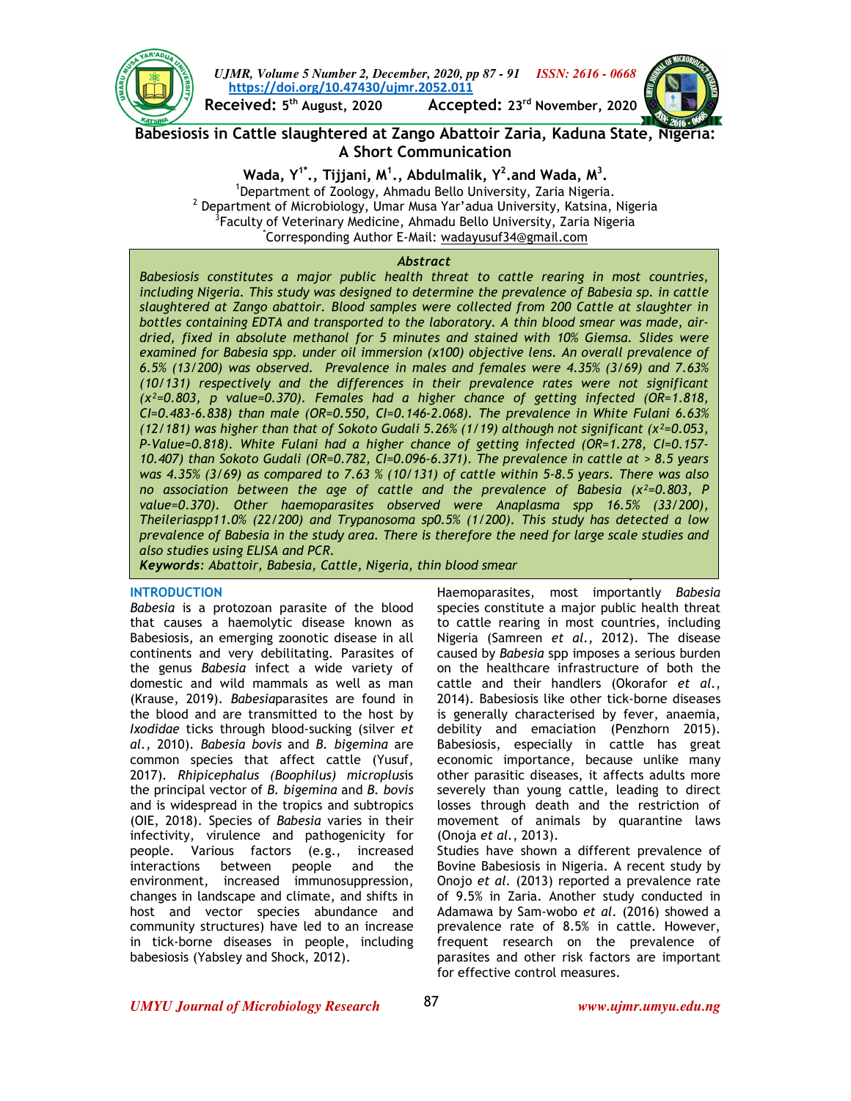

**Babesiosis in Cattle slaughtered at Zango Abattoir Zaria, Kaduna State, Nigeria: A Short Communication** 

> **Wada, Y1\*., Tijjani, M<sup>1</sup> ., Abdulmalik, Y<sup>2</sup> .and Wada, M<sup>3</sup> .**  <sup>1</sup>Department of Zoology, Ahmadu Bello University, Zaria Nigeria.  $^2$  Department of Microbiology, Umar Musa Yar'adua University, Katsina, Nigeria  ${}^{3}$ Faculty of Veterinary Medicine, Ahmadu Bello University, Zaria Nigeria \*Corresponding Author E-Mail: wadayusuf34@gmail.com

#### *Abstract*

*Babesiosis constitutes a major public health threat to cattle rearing in most countries, including Nigeria. This study was designed to determine the prevalence of Babesia sp. in cattle slaughtered at Zango abattoir. Blood samples were collected from 200 Cattle at slaughter in bottles containing EDTA and transported to the laboratory. A thin blood smear was made, airdried, fixed in absolute methanol for 5 minutes and stained with 10% Giemsa. Slides were examined for Babesia spp. under oil immersion (x100) objective lens. An overall prevalence of 6.5% (13/200) was observed. Prevalence in males and females were 4.35% (3/69) and 7.63% (10/131) respectively and the differences in their prevalence rates were not significant (χ²=0.803, p value=0.370). Females had a higher chance of getting infected (OR=1.818, CI=0.483-6.838) than male (OR=0.550, CI=0.146-2.068). The prevalence in White Fulani 6.63% (12/181) was higher than that of Sokoto Gudali 5.26% (1/19) although not significant (χ²=0.053, P-Value=0.818). White Fulani had a higher chance of getting infected (OR=1.278, CI=0.157- 10.407) than Sokoto Gudali (OR=0.782, CI=0.096-6.371). The prevalence in cattle at > 8.5 years was 4.35% (3/69) as compared to 7.63 % (10/131) of cattle within 5-8.5 years. There was also no association between the age of cattle and the prevalence of Babesia (χ²=0.803, P value=0.370). Other haemoparasites observed were Anaplasma spp 16.5% (33/200), Theileriaspp11.0% (22/200) and Trypanosoma sp0.5% (1/200). This study has detected a low prevalence of Babesia in the study area. There is therefore the need for large scale studies and also studies using ELISA and PCR.* 

**BABESIOSIS IN CATTLE SLAUGHTERED AT ZANGO ABATTOIR ZARIA, KADUNA**  *Keywords: Abattoir, Babesia, Cattle, Nigeria, thin blood smear*

### **INTRODUCTION**

*Babesia* is a protozoan parasite of the blood that causes a haemolytic disease known as Babesiosis, an emerging zoonotic disease in all continents and very debilitating. Parasites of the genus *Babesia* infect a wide variety of domestic and wild mammals as well as man (Krause, 2019). *Babesia*parasites are found in the blood and are transmitted to the host by *Ixodidae* ticks through blood-sucking (silver *et al.,* 2010). *Babesia bovis* and *B. bigemina* are common species that affect cattle (Yusuf, 2017)*. Rhipicephalus (Boophilus) microplus*is the principal vector of *B. bigemina* and *B. bovis*  and is widespread in the tropics and subtropics (OIE, 2018). Species of *Babesia* varies in their infectivity, virulence and pathogenicity for people. Various factors (e.g., increased interactions between people and the environment, increased immunosuppression, changes in landscape and climate, and shifts in host and vector species abundance and community structures) have led to an increase in tick-borne diseases in people, including babesiosis (Yabsley and Shock, 2012).

Haemoparasites, most importantly *Babesia*  species constitute a major public health threat to cattle rearing in most countries, including Nigeria (Samreen *et al.,* 2012). The disease caused by *Babesia* spp imposes a serious burden on the healthcare infrastructure of both the cattle and their handlers (Okorafor *et al.*, 2014). Babesiosis like other tick-borne diseases is generally characterised by fever, anaemia, debility and emaciation (Penzhorn 2015). Babesiosis, especially in cattle has great economic importance, because unlike many other parasitic diseases, it affects adults more severely than young cattle, leading to direct losses through death and the restriction of movement of animals by quarantine laws (Onoja *et al.*, 2013).

Studies have shown a different prevalence of Bovine Babesiosis in Nigeria. A recent study by Onojo *et al.* (2013) reported a prevalence rate of 9.5% in Zaria. Another study conducted in Adamawa by Sam-wobo *et al.* (2016) showed a prevalence rate of 8.5% in cattle. However, frequent research on the prevalence of parasites and other risk factors are important for effective control measures.

*UMYU Journal of Microbiology Research www.ujmr.umyu.edu.ng*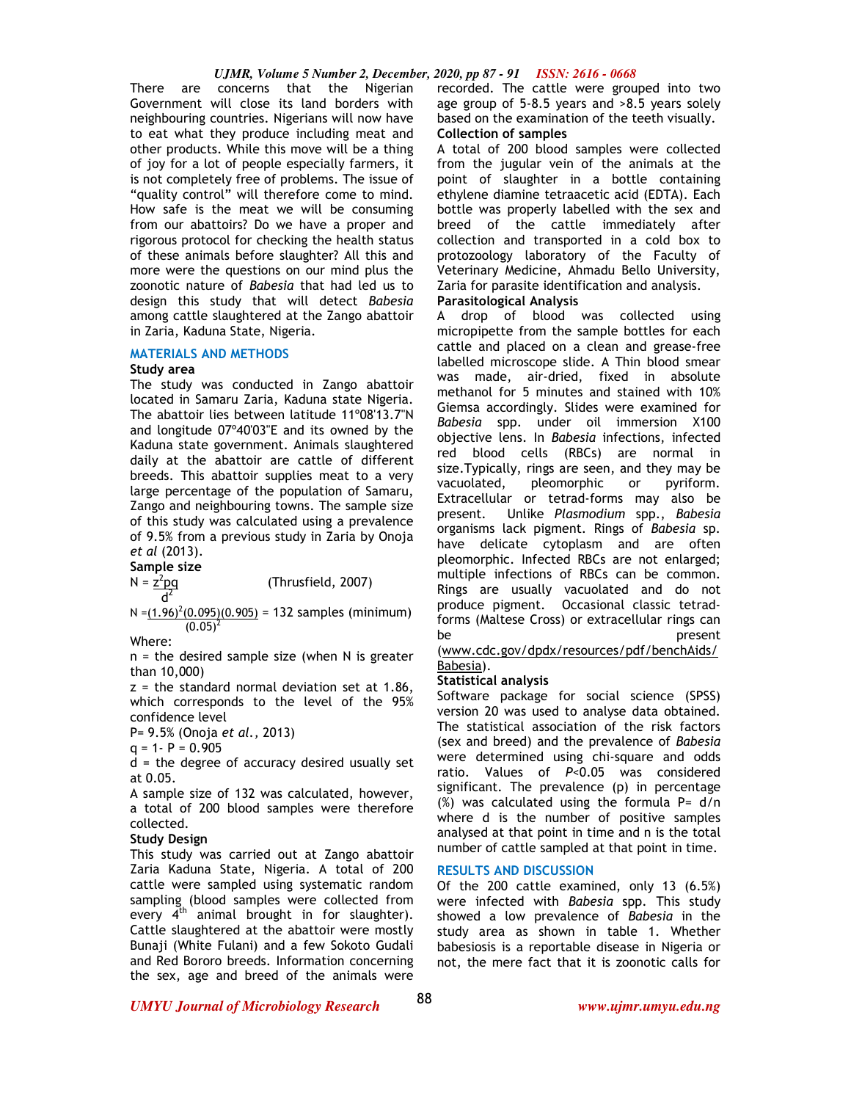#### *UJMR, Volume 5 Number 2, December, 2020, pp 87 - 91 ISSN: 2616 - 0668*

There are concerns that the Nigerian Government will close its land borders with neighbouring countries. Nigerians will now have to eat what they produce including meat and other products. While this move will be a thing of joy for a lot of people especially farmers, it is not completely free of problems. The issue of "quality control" will therefore come to mind. How safe is the meat we will be consuming from our abattoirs? Do we have a proper and rigorous protocol for checking the health status of these animals before slaughter? All this and more were the questions on our mind plus the zoonotic nature of *Babesia* that had led us to design this study that will detect *Babesia* among cattle slaughtered at the Zango abattoir in Zaria, Kaduna State, Nigeria.

### **MATERIALS AND METHODS**

### **Study area**

The study was conducted in Zango abattoir located in Samaru Zaria, Kaduna state Nigeria. The abattoir lies between latitude 11º08'13.7"N and longitude 07º40'03"E and its owned by the Kaduna state government. Animals slaughtered daily at the abattoir are cattle of different breeds. This abattoir supplies meat to a very large percentage of the population of Samaru, Zango and neighbouring towns. The sample size of this study was calculated using a prevalence of 9.5% from a previous study in Zaria by Onoja *et al* (2013).

**Sample size** 

 $N = z^2pq$ (Thrusfield, 2007)  $d^2$ 

 $N = (1.96)^2(0.095)(0.905) = 132$  samples (minimum)  $(0.05)^2$ 

Where:

 $n =$  the desired sample size (when N is greater than 10,000)

 $z =$  the standard normal deviation set at 1.86, which corresponds to the level of the 95% confidence level

P= 9.5% (Onoja *et al.,* 2013)

 $q = 1 - P = 0.905$ 

 $d =$  the degree of accuracy desired usually set at 0.05.

A sample size of 132 was calculated, however, a total of 200 blood samples were therefore collected.

## **Study Design**

This study was carried out at Zango abattoir Zaria Kaduna State, Nigeria. A total of 200 cattle were sampled using systematic random sampling (blood samples were collected from every  $4<sup>th</sup>$  animal brought in for slaughter). Cattle slaughtered at the abattoir were mostly Bunaji (White Fulani) and a few Sokoto Gudali and Red Bororo breeds. Information concerning the sex, age and breed of the animals were

recorded. The cattle were grouped into two age group of 5-8.5 years and >8.5 years solely based on the examination of the teeth visually. **Collection of samples** 

A total of 200 blood samples were collected from the jugular vein of the animals at the point of slaughter in a bottle containing ethylene diamine tetraacetic acid (EDTA). Each bottle was properly labelled with the sex and breed of the cattle immediately after collection and transported in a cold box to protozoology laboratory of the Faculty of Veterinary Medicine, Ahmadu Bello University, Zaria for parasite identification and analysis.

# **Parasitological Analysis**

A drop of blood was collected using micropipette from the sample bottles for each cattle and placed on a clean and grease-free labelled microscope slide. A Thin blood smear was made, air-dried, fixed in absolute methanol for 5 minutes and stained with 10% Giemsa accordingly. Slides were examined for *Babesia* spp. under oil immersion X100 objective lens. In *Babesia* infections, infected red blood cells (RBCs) are normal in size.Typically, rings are seen, and they may be vacuolated, pleomorphic or pyriform. Extracellular or tetrad-forms may also be present. Unlike *Plasmodium* spp., *Babesia* organisms lack pigment. Rings of *Babesia* sp. have delicate cytoplasm and are often pleomorphic. Infected RBCs are not enlarged; multiple infections of RBCs can be common. Rings are usually vacuolated and do not produce pigment. Occasional classic tetradforms (Maltese Cross) or extracellular rings can be **be** present

# (www.cdc.gov/dpdx/resources/pdf/benchAids/ Babesia).

## **Statistical analysis**

Software package for social science (SPSS) version 20 was used to analyse data obtained. The statistical association of the risk factors (sex and breed) and the prevalence of *Babesia* were determined using chi-square and odds ratio. Values of *P*<0.05 was considered significant. The prevalence (p) in percentage  $(\%)$  was calculated using the formula P= d/n where d is the number of positive samples analysed at that point in time and n is the total number of cattle sampled at that point in time.

# **RESULTS AND DISCUSSION**

Of the 200 cattle examined, only 13 (6.5%) were infected with *Babesia* spp. This study showed a low prevalence of *Babesia* in the study area as shown in table 1. Whether babesiosis is a reportable disease in Nigeria or not, the mere fact that it is zoonotic calls for

*UMYU Journal of Microbiology Research www.ujmr.umyu.edu.ng*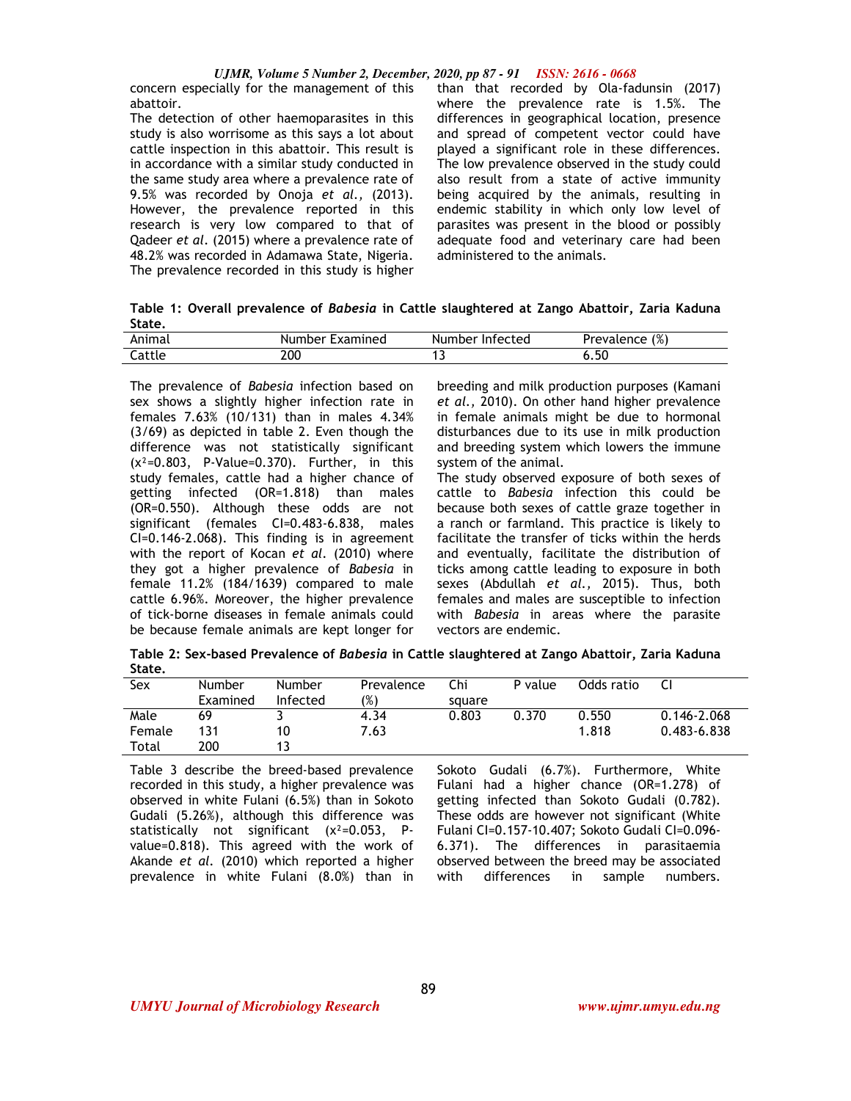#### *UJMR, Volume 5 Number 2, December, 2020, pp 87 - 91 ISSN: 2616 - 0668*

concern especially for the management of this abattoir.

The detection of other haemoparasites in this study is also worrisome as this says a lot about cattle inspection in this abattoir. This result is in accordance with a similar study conducted in the same study area where a prevalence rate of 9.5% was recorded by Onoja *et al.,* (2013). However, the prevalence reported in this research is very low compared to that of Qadeer *et al*. (2015) where a prevalence rate of 48.2% was recorded in Adamawa State, Nigeria. The prevalence recorded in this study is higher than that recorded by Ola-fadunsin (2017) where the prevalence rate is 1.5%. The differences in geographical location, presence and spread of competent vector could have played a significant role in these differences. The low prevalence observed in the study could also result from a state of active immunity being acquired by the animals, resulting in endemic stability in which only low level of parasites was present in the blood or possibly adequate food and veterinary care had been administered to the animals.

**Table 1: Overall prevalence of** *Babesia* **in Cattle slaughtered at Zango Abattoir, Zaria Kaduna State.** 

| Animal | Number<br><b>Examined</b> | Number Infected | Prevalence (%) |
|--------|---------------------------|-----------------|----------------|
| Cattle | 200                       |                 | 6.5U           |

The prevalence of *Babesia* infection based on sex shows a slightly higher infection rate in females 7.63% (10/131) than in males 4.34% (3/69) as depicted in table 2. Even though the difference was not statistically significant  $(x^2=0.803, P-Value=0.370)$ . Further, in this study females, cattle had a higher chance of getting infected (OR=1.818) than males (OR=0.550). Although these odds are not significant (females CI=0.483-6.838, males CI=0.146-2.068). This finding is in agreement with the report of Kocan *et al.* (2010) where they got a higher prevalence of *Babesia* in female 11.2% (184/1639) compared to male cattle 6.96%. Moreover, the higher prevalence of tick-borne diseases in female animals could be because female animals are kept longer for breeding and milk production purposes (Kamani *et al.,* 2010). On other hand higher prevalence in female animals might be due to hormonal disturbances due to its use in milk production and breeding system which lowers the immune system of the animal.

The study observed exposure of both sexes of cattle to *Babesia* infection this could be because both sexes of cattle graze together in a ranch or farmland. This practice is likely to facilitate the transfer of ticks within the herds and eventually, facilitate the distribution of ticks among cattle leading to exposure in both sexes (Abdullah *et al.,* 2015). Thus, both females and males are susceptible to infection with *Babesia* in areas where the parasite vectors are endemic.

**Table 2: Sex-based Prevalence of** *Babesia* **in Cattle slaughtered at Zango Abattoir, Zaria Kaduna State.** 

| Sex    | Number   | <b>Number</b> | Prevalence    | Chi    | P value | Odds ratio |                 |
|--------|----------|---------------|---------------|--------|---------|------------|-----------------|
|        | Examined | Infected      | $\frac{9}{6}$ | square |         |            |                 |
| Male   | 69       |               | 4.34          | 0.803  | 0.370   | 0.550      | $0.146 - 2.068$ |
| Female | 131      | 10            | 7.63          |        |         | 1.818      | $0.483 - 6.838$ |
| Total  | 200      |               |               |        |         |            |                 |

Table 3 describe the breed-based prevalence recorded in this study, a higher prevalence was observed in white Fulani (6.5%) than in Sokoto Gudali (5.26%), although this difference was statistically not significant (χ²=0.053, Pvalue=0.818). This agreed with the work of Akande *et al.* (2010) which reported a higher prevalence in white Fulani (8.0%) than in Sokoto Gudali (6.7%). Furthermore, White Fulani had a higher chance (OR=1.278) of getting infected than Sokoto Gudali (0.782). These odds are however not significant (White Fulani CI=0.157-10.407; Sokoto Gudali CI=0.096- 6.371). The differences in parasitaemia observed between the breed may be associated with differences in sample numbers.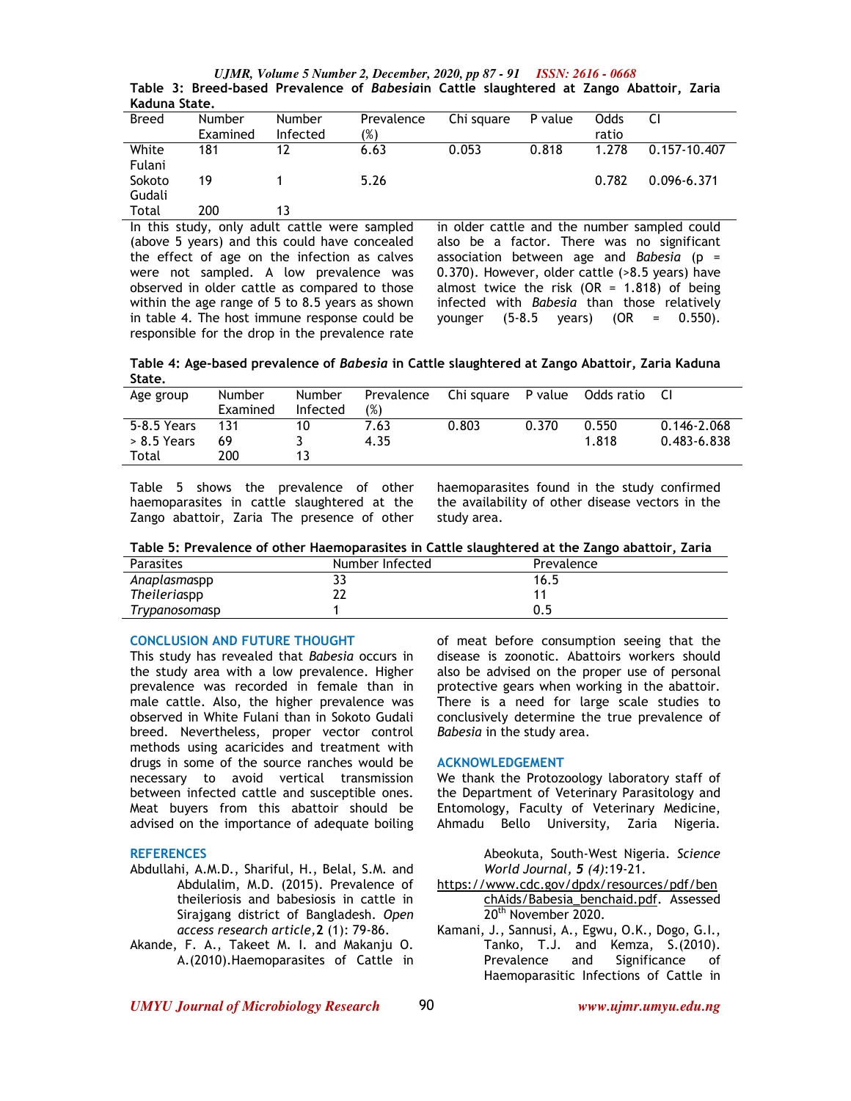*UJMR, Volume 5 Number 2, December, 2020, pp 87 - 91 ISSN: 2616 - 0668* **Table 3: Breed-based Prevalence of** *Babesia***in Cattle slaughtered at Zango Abattoir, Zaria Kaduna State.** 

| <b>Breed</b> | <b>Number</b> | <b>Number</b> | Prevalence | Chi square | P value | Odds  |              |
|--------------|---------------|---------------|------------|------------|---------|-------|--------------|
|              | Examined      | Infected      | (%)        |            |         | ratio |              |
| White        | 181           | 12            | 6.63       | 0.053      | 0.818   | 1.278 | 0.157-10.407 |
| Fulani       |               |               |            |            |         |       |              |
| Sokoto       | 19            |               | 5.26       |            |         | 0.782 | 0.096-6.371  |
| Gudali       |               |               |            |            |         |       |              |
| Total        | 200           | 13            |            |            |         |       |              |

In this study, only adult cattle were sampled (above 5 years) and this could have concealed the effect of age on the infection as calves were not sampled. A low prevalence was observed in older cattle as compared to those within the age range of 5 to 8.5 years as shown in table 4. The host immune response could be responsible for the drop in the prevalence rate in older cattle and the number sampled could also be a factor. There was no significant association between age and *Babesia* (p = 0.370). However, older cattle (>8.5 years) have almost twice the risk (OR =  $1.818$ ) of being infected with *Babesia* than those relatively younger (5-8.5 years) (OR = 0.550).

**Table 4: Age-based prevalence of** *Babesia* **in Cattle slaughtered at Zango Abattoir, Zaria Kaduna State.** 

| Age group     | <b>Number</b> | Number   | Prevalence | Chi sauare | P value | Odds ratio | -CI             |
|---------------|---------------|----------|------------|------------|---------|------------|-----------------|
|               | Examined      | Infected | (%)        |            |         |            |                 |
| 5-8.5 Years   | 131           |          | 7.63       | 0.803      | 0.370   | 0.550      | $0.146 - 2.068$ |
| $> 8.5$ Years | 69            |          | 4.35       |            |         | 1.818      | 0.483-6.838     |
| Total         | 200           |          |            |            |         |            |                 |

Table 5 shows the prevalence of other haemoparasites in cattle slaughtered at the Zango abattoir, Zaria The presence of other haemoparasites found in the study confirmed the availability of other disease vectors in the study area.

| Table 5: Prevalence of other Haemoparasites in Cattle slaughtered at the Zango abattoir, Zaria |  |  |
|------------------------------------------------------------------------------------------------|--|--|
|                                                                                                |  |  |

| <b>Parasites</b> | Number Infected | Prevalence |
|------------------|-----------------|------------|
| Anaplasmaspp     | 33              | 16.5       |
| Theileriaspp     | 22              |            |
| Trypanosomasp    |                 | 0.5        |

# **CONCLUSION AND FUTURE THOUGHT**

This study has revealed that *Babesia* occurs in the study area with a low prevalence. Higher prevalence was recorded in female than in male cattle. Also, the higher prevalence was observed in White Fulani than in Sokoto Gudali breed. Nevertheless, proper vector control methods using acaricides and treatment with drugs in some of the source ranches would be necessary to avoid vertical transmission between infected cattle and susceptible ones. Meat buyers from this abattoir should be advised on the importance of adequate boiling

## **REFERENCES**

- Abdullahi, A.M.D., Shariful, H., Belal, S.M. and Abdulalim, M.D. (2015). Prevalence of theileriosis and babesiosis in cattle in Sirajgang district of Bangladesh. *Open access research article,***2** (1): 79-86.
- Akande, F. A., Takeet M. I. and Makanju O. A.(2010).Haemoparasites of Cattle in

of meat before consumption seeing that the disease is zoonotic. Abattoirs workers should also be advised on the proper use of personal protective gears when working in the abattoir. There is a need for large scale studies to conclusively determine the true prevalence of *Babesia* in the study area.

#### **ACKNOWLEDGEMENT**

We thank the Protozoology laboratory staff of the Department of Veterinary Parasitology and Entomology, Faculty of Veterinary Medicine, Ahmadu Bello University, Zaria Nigeria.

> Abeokuta, South-West Nigeria. *Science World Journal, 5 (4)*:19-21.

- https://www.cdc.gov/dpdx/resources/pdf/ben chAids/Babesia\_benchaid.pdf. Assessed 20<sup>th</sup> November 2020.
- Kamani, J., Sannusi, A., Egwu, O.K., Dogo, G.I., Tanko, T.J. and Kemza, S.(2010). Prevalence and Significance of Haemoparasitic Infections of Cattle in